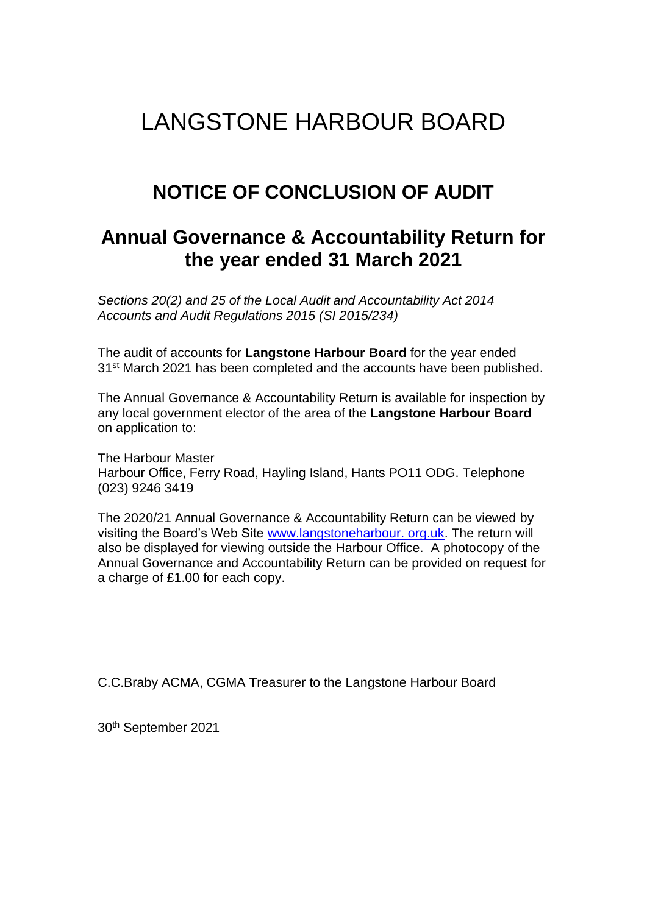# LANGSTONE HARBOUR BOARD

# **NOTICE OF CONCLUSION OF AUDIT**

## **Annual Governance & Accountability Return for the year ended 31 March 2021**

*Sections 20(2) and 25 of the Local Audit and Accountability Act 2014 Accounts and Audit Regulations 2015 (SI 2015/234)*

The audit of accounts for **Langstone Harbour Board** for the year ended 31<sup>st</sup> March 2021 has been completed and the accounts have been published.

The Annual Governance & Accountability Return is available for inspection by any local government elector of the area of the **Langstone Harbour Board** on application to:

The Harbour Master Harbour Office, Ferry Road, Hayling Island, Hants PO11 ODG. Telephone (023) 9246 3419

The 2020/21 Annual Governance & Accountability Return can be viewed by visiting the Board's Web Site www.langstoneharbour. org.uk. The return will also be displayed for viewing outside the Harbour Office. A photocopy of the Annual Governance and Accountability Return can be provided on request for a charge of £1.00 for each copy.

C.C.Braby ACMA, CGMA Treasurer to the Langstone Harbour Board

30th September 2021